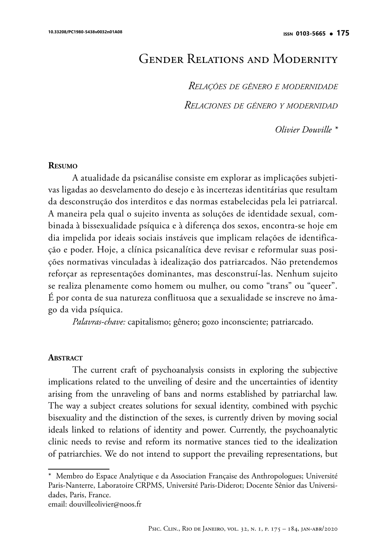# Gender Relations and Modernity

*Relações de gênero e modernidade Relaciones de género y modernidad*

*Olivier Douville \**

#### **Resumo**

A atualidade da psicanálise consiste em explorar as implicações subjetivas ligadas ao desvelamento do desejo e às incertezas identitárias que resultam da desconstrução dos interditos e das normas estabelecidas pela lei patriarcal. A maneira pela qual o sujeito inventa as soluções de identidade sexual, combinada à bissexualidade psíquica e à diferença dos sexos, encontra-se hoje em dia impelida por ideais sociais instáveis que implicam relações de identificação e poder. Hoje, a clínica psicanalítica deve revisar e reformular suas posições normativas vinculadas à idealização dos patriarcados. Não pretendemos reforçar as representações dominantes, mas desconstruí-las. Nenhum sujeito se realiza plenamente como homem ou mulher, ou como "trans" ou "queer". É por conta de sua natureza conflituosa que a sexualidade se inscreve no âmago da vida psíquica.

*Palavras-chave:* capitalismo; gênero; gozo inconsciente; patriarcado.

#### **ABSTRACT**

The current craft of psychoanalysis consists in exploring the subjective implications related to the unveiling of desire and the uncertainties of identity arising from the unraveling of bans and norms established by patriarchal law. The way a subject creates solutions for sexual identity, combined with psychic bisexuality and the distinction of the sexes, is currently driven by moving social ideals linked to relations of identity and power. Currently, the psychoanalytic clinic needs to revise and reform its normative stances tied to the idealization of patriarchies. We do not intend to support the prevailing representations, but

email: douvilleolivier@noos.fr

<sup>\*</sup> Membro do Espace Analytique e da Association Française des Anthropologues; Université Paris-Nanterre, Laboratoire CRPMS, Université Paris-Diderot; Docente Sênior das Universidades, Paris, France.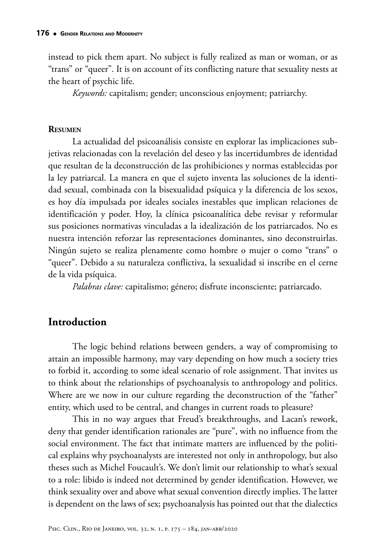instead to pick them apart. No subject is fully realized as man or woman, or as "trans" or "queer". It is on account of its conflicting nature that sexuality nests at the heart of psychic life.

*Keywords:* capitalism; gender; unconscious enjoyment; patriarchy.

#### **Resumen**

La actualidad del psicoanálisis consiste en explorar las implicaciones subjetivas relacionadas con la revelación del deseo y las incertidumbres de identidad que resultan de la deconstrucción de las prohibiciones y normas establecidas por la ley patriarcal. La manera en que el sujeto inventa las soluciones de la identidad sexual, combinada con la bisexualidad psíquica y la diferencia de los sexos, es hoy día impulsada por ideales sociales inestables que implican relaciones de identificación y poder. Hoy, la clínica psicoanalítica debe revisar y reformular sus posiciones normativas vinculadas a la idealización de los patriarcados. No es nuestra intención reforzar las representaciones dominantes, sino deconstruirlas. Ningún sujeto se realiza plenamente como hombre o mujer o como "trans" o "queer". Debido a su naturaleza conflictiva, la sexualidad si inscribe en el cerne de la vida psíquica.

*Palabras clave:* capitalismo; género; disfrute inconsciente; patriarcado.

# **Introduction**

The logic behind relations between genders, a way of compromising to attain an impossible harmony, may vary depending on how much a society tries to forbid it, according to some ideal scenario of role assignment. That invites us to think about the relationships of psychoanalysis to anthropology and politics. Where are we now in our culture regarding the deconstruction of the "father" entity, which used to be central, and changes in current roads to pleasure?

This in no way argues that Freud's breakthroughs, and Lacan's rework, deny that gender identification rationales are "pure", with no influence from the social environment. The fact that intimate matters are influenced by the political explains why psychoanalysts are interested not only in anthropology, but also theses such as Michel Foucault's. We don't limit our relationship to what's sexual to a role: libido is indeed not determined by gender identification. However, we think sexuality over and above what sexual convention directly implies. The latter is dependent on the laws of sex; psychoanalysis has pointed out that the dialectics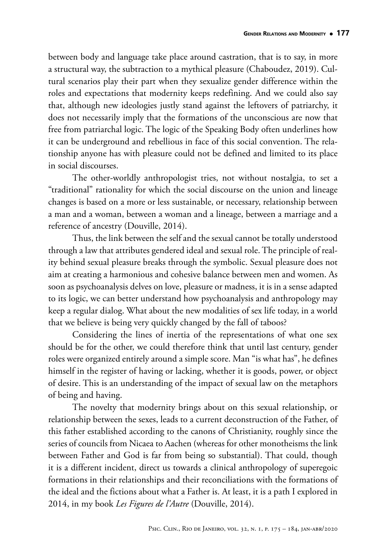between body and language take place around castration, that is to say, in more a structural way, the subtraction to a mythical pleasure (Chaboudez, 2019). Cultural scenarios play their part when they sexualize gender difference within the roles and expectations that modernity keeps redefining. And we could also say that, although new ideologies justly stand against the leftovers of patriarchy, it does not necessarily imply that the formations of the unconscious are now that free from patriarchal logic. The logic of the Speaking Body often underlines how it can be underground and rebellious in face of this social convention. The relationship anyone has with pleasure could not be defined and limited to its place in social discourses.

The other-worldly anthropologist tries, not without nostalgia, to set a "traditional" rationality for which the social discourse on the union and lineage changes is based on a more or less sustainable, or necessary, relationship between a man and a woman, between a woman and a lineage, between a marriage and a reference of ancestry (Douville, 2014).

Thus, the link between the self and the sexual cannot be totally understood through a law that attributes gendered ideal and sexual role. The principle of reality behind sexual pleasure breaks through the symbolic. Sexual pleasure does not aim at creating a harmonious and cohesive balance between men and women. As soon as psychoanalysis delves on love, pleasure or madness, it is in a sense adapted to its logic, we can better understand how psychoanalysis and anthropology may keep a regular dialog. What about the new modalities of sex life today, in a world that we believe is being very quickly changed by the fall of taboos?

Considering the lines of inertia of the representations of what one sex should be for the other, we could therefore think that until last century, gender roles were organized entirely around a simple score. Man "is what has", he defines himself in the register of having or lacking, whether it is goods, power, or object of desire. This is an understanding of the impact of sexual law on the metaphors of being and having.

The novelty that modernity brings about on this sexual relationship, or relationship between the sexes, leads to a current deconstruction of the Father, of this father established according to the canons of Christianity, roughly since the series of councils from Nicaea to Aachen (whereas for other monotheisms the link between Father and God is far from being so substantial). That could, though it is a different incident, direct us towards a clinical anthropology of superegoic formations in their relationships and their reconciliations with the formations of the ideal and the fictions about what a Father is. At least, it is a path I explored in 2014, in my book *Les Figures de l'Autre* (Douville, 2014).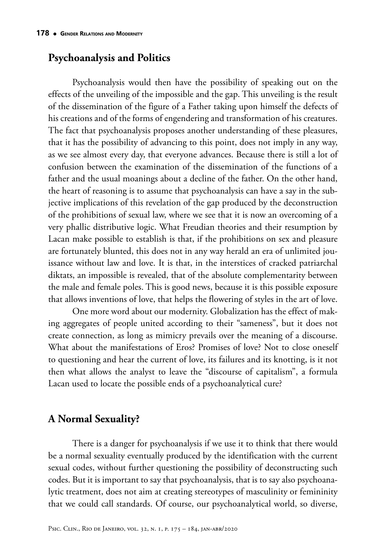## **Psychoanalysis and Politics**

Psychoanalysis would then have the possibility of speaking out on the effects of the unveiling of the impossible and the gap. This unveiling is the result of the dissemination of the figure of a Father taking upon himself the defects of his creations and of the forms of engendering and transformation of his creatures. The fact that psychoanalysis proposes another understanding of these pleasures, that it has the possibility of advancing to this point, does not imply in any way, as we see almost every day, that everyone advances. Because there is still a lot of confusion between the examination of the dissemination of the functions of a father and the usual moanings about a decline of the father. On the other hand, the heart of reasoning is to assume that psychoanalysis can have a say in the subjective implications of this revelation of the gap produced by the deconstruction of the prohibitions of sexual law, where we see that it is now an overcoming of a very phallic distributive logic. What Freudian theories and their resumption by Lacan make possible to establish is that, if the prohibitions on sex and pleasure are fortunately blunted, this does not in any way herald an era of unlimited jouissance without law and love. It is that, in the interstices of cracked patriarchal diktats, an impossible is revealed, that of the absolute complementarity between the male and female poles. This is good news, because it is this possible exposure that allows inventions of love, that helps the flowering of styles in the art of love.

One more word about our modernity. Globalization has the effect of making aggregates of people united according to their "sameness", but it does not create connection, as long as mimicry prevails over the meaning of a discourse. What about the manifestations of Eros? Promises of love? Not to close oneself to questioning and hear the current of love, its failures and its knotting, is it not then what allows the analyst to leave the "discourse of capitalism", a formula Lacan used to locate the possible ends of a psychoanalytical cure?

### **A Normal Sexuality?**

There is a danger for psychoanalysis if we use it to think that there would be a normal sexuality eventually produced by the identification with the current sexual codes, without further questioning the possibility of deconstructing such codes. But it is important to say that psychoanalysis, that is to say also psychoanalytic treatment, does not aim at creating stereotypes of masculinity or femininity that we could call standards. Of course, our psychoanalytical world, so diverse,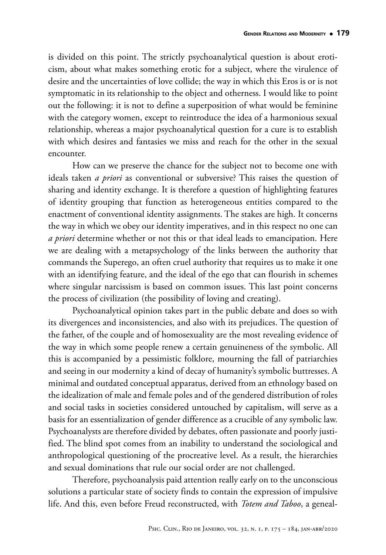is divided on this point. The strictly psychoanalytical question is about eroticism, about what makes something erotic for a subject, where the virulence of desire and the uncertainties of love collide; the way in which this Eros is or is not symptomatic in its relationship to the object and otherness. I would like to point out the following: it is not to define a superposition of what would be feminine with the category women, except to reintroduce the idea of a harmonious sexual relationship, whereas a major psychoanalytical question for a cure is to establish with which desires and fantasies we miss and reach for the other in the sexual encounter.

How can we preserve the chance for the subject not to become one with ideals taken *a priori* as conventional or subversive? This raises the question of sharing and identity exchange. It is therefore a question of highlighting features of identity grouping that function as heterogeneous entities compared to the enactment of conventional identity assignments. The stakes are high. It concerns the way in which we obey our identity imperatives, and in this respect no one can *a priori* determine whether or not this or that ideal leads to emancipation. Here we are dealing with a metapsychology of the links between the authority that commands the Superego, an often cruel authority that requires us to make it one with an identifying feature, and the ideal of the ego that can flourish in schemes where singular narcissism is based on common issues. This last point concerns the process of civilization (the possibility of loving and creating).

Psychoanalytical opinion takes part in the public debate and does so with its divergences and inconsistencies, and also with its prejudices. The question of the father, of the couple and of homosexuality are the most revealing evidence of the way in which some people renew a certain genuineness of the symbolic. All this is accompanied by a pessimistic folklore, mourning the fall of patriarchies and seeing in our modernity a kind of decay of humanity's symbolic buttresses. A minimal and outdated conceptual apparatus, derived from an ethnology based on the idealization of male and female poles and of the gendered distribution of roles and social tasks in societies considered untouched by capitalism, will serve as a basis for an essentialization of gender difference as a crucible of any symbolic law. Psychoanalysts are therefore divided by debates, often passionate and poorly justified. The blind spot comes from an inability to understand the sociological and anthropological questioning of the procreative level. As a result, the hierarchies and sexual dominations that rule our social order are not challenged.

Therefore, psychoanalysis paid attention really early on to the unconscious solutions a particular state of society finds to contain the expression of impulsive life. And this, even before Freud reconstructed, with *Totem and Taboo*, a geneal-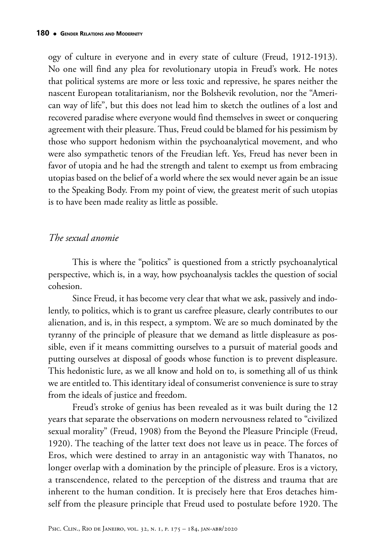ogy of culture in everyone and in every state of culture (Freud, 1912-1913). No one will find any plea for revolutionary utopia in Freud's work. He notes that political systems are more or less toxic and repressive, he spares neither the nascent European totalitarianism, nor the Bolshevik revolution, nor the "American way of life", but this does not lead him to sketch the outlines of a lost and recovered paradise where everyone would find themselves in sweet or conquering agreement with their pleasure. Thus, Freud could be blamed for his pessimism by those who support hedonism within the psychoanalytical movement, and who were also sympathetic tenors of the Freudian left. Yes, Freud has never been in favor of utopia and he had the strength and talent to exempt us from embracing utopias based on the belief of a world where the sex would never again be an issue to the Speaking Body. From my point of view, the greatest merit of such utopias is to have been made reality as little as possible.

#### *The sexual anomie*

This is where the "politics" is questioned from a strictly psychoanalytical perspective, which is, in a way, how psychoanalysis tackles the question of social cohesion.

Since Freud, it has become very clear that what we ask, passively and indolently, to politics, which is to grant us carefree pleasure, clearly contributes to our alienation, and is, in this respect, a symptom. We are so much dominated by the tyranny of the principle of pleasure that we demand as little displeasure as possible, even if it means committing ourselves to a pursuit of material goods and putting ourselves at disposal of goods whose function is to prevent displeasure. This hedonistic lure, as we all know and hold on to, is something all of us think we are entitled to. This identitary ideal of consumerist convenience is sure to stray from the ideals of justice and freedom.

Freud's stroke of genius has been revealed as it was built during the 12 years that separate the observations on modern nervousness related to "civilized sexual morality" (Freud, 1908) from the Beyond the Pleasure Principle (Freud, 1920). The teaching of the latter text does not leave us in peace. The forces of Eros, which were destined to array in an antagonistic way with Thanatos, no longer overlap with a domination by the principle of pleasure. Eros is a victory, a transcendence, related to the perception of the distress and trauma that are inherent to the human condition. It is precisely here that Eros detaches himself from the pleasure principle that Freud used to postulate before 1920. The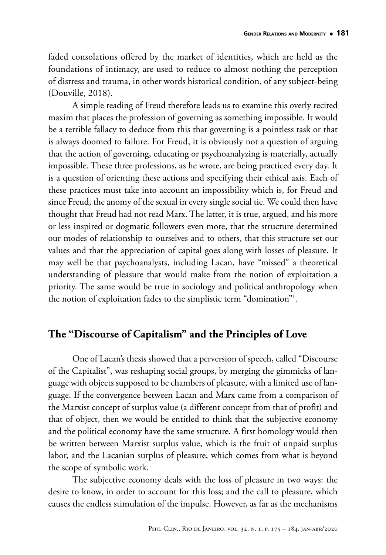faded consolations offered by the market of identities, which are held as the foundations of intimacy, are used to reduce to almost nothing the perception of distress and trauma, in other words historical condition, of any subject-being (Douville, 2018).

A simple reading of Freud therefore leads us to examine this overly recited maxim that places the profession of governing as something impossible. It would be a terrible fallacy to deduce from this that governing is a pointless task or that is always doomed to failure. For Freud, it is obviously not a question of arguing that the action of governing, educating or psychoanalyzing is materially, actually impossible. These three professions, as he wrote, are being practiced every day. It is a question of orienting these actions and specifying their ethical axis. Each of these practices must take into account an impossibility which is, for Freud and since Freud, the anomy of the sexual in every single social tie. We could then have thought that Freud had not read Marx. The latter, it is true, argued, and his more or less inspired or dogmatic followers even more, that the structure determined our modes of relationship to ourselves and to others, that this structure set our values and that the appreciation of capital goes along with losses of pleasure. It may well be that psychoanalysts, including Lacan, have "missed" a theoretical understanding of pleasure that would make from the notion of exploitation a priority. The same would be true in sociology and political anthropology when the notion of exploitation fades to the simplistic term "domination"1 .

# **The "Discourse of Capitalism" and the Principles of Love**

One of Lacan's thesis showed that a perversion of speech, called "Discourse of the Capitalist", was reshaping social groups, by merging the gimmicks of language with objects supposed to be chambers of pleasure, with a limited use of language. If the convergence between Lacan and Marx came from a comparison of the Marxist concept of surplus value (a different concept from that of profit) and that of object, then we would be entitled to think that the subjective economy and the political economy have the same structure. A first homology would then be written between Marxist surplus value, which is the fruit of unpaid surplus labor, and the Lacanian surplus of pleasure, which comes from what is beyond the scope of symbolic work.

The subjective economy deals with the loss of pleasure in two ways: the desire to know, in order to account for this loss; and the call to pleasure, which causes the endless stimulation of the impulse. However, as far as the mechanisms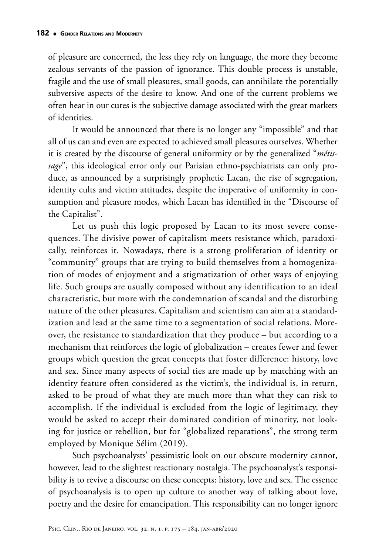of pleasure are concerned, the less they rely on language, the more they become zealous servants of the passion of ignorance. This double process is unstable, fragile and the use of small pleasures, small goods, can annihilate the potentially subversive aspects of the desire to know. And one of the current problems we often hear in our cures is the subjective damage associated with the great markets of identities.

It would be announced that there is no longer any "impossible" and that all of us can and even are expected to achieved small pleasures ourselves. Whether it is created by the discourse of general uniformity or by the generalized "*métissage*", this ideological error only our Parisian ethno-psychiatrists can only produce, as announced by a surprisingly prophetic Lacan, the rise of segregation, identity cults and victim attitudes, despite the imperative of uniformity in consumption and pleasure modes, which Lacan has identified in the "Discourse of the Capitalist".

Let us push this logic proposed by Lacan to its most severe consequences. The divisive power of capitalism meets resistance which, paradoxically, reinforces it. Nowadays, there is a strong proliferation of identity or "community" groups that are trying to build themselves from a homogenization of modes of enjoyment and a stigmatization of other ways of enjoying life. Such groups are usually composed without any identification to an ideal characteristic, but more with the condemnation of scandal and the disturbing nature of the other pleasures. Capitalism and scientism can aim at a standardization and lead at the same time to a segmentation of social relations. Moreover, the resistance to standardization that they produce – but according to a mechanism that reinforces the logic of globalization – creates fewer and fewer groups which question the great concepts that foster difference: history, love and sex. Since many aspects of social ties are made up by matching with an identity feature often considered as the victim's, the individual is, in return, asked to be proud of what they are much more than what they can risk to accomplish. If the individual is excluded from the logic of legitimacy, they would be asked to accept their dominated condition of minority, not looking for justice or rebellion, but for "globalized reparations", the strong term employed by Monique Sélim (2019).

Such psychoanalysts' pessimistic look on our obscure modernity cannot, however, lead to the slightest reactionary nostalgia. The psychoanalyst's responsibility is to revive a discourse on these concepts: history, love and sex. The essence of psychoanalysis is to open up culture to another way of talking about love, poetry and the desire for emancipation. This responsibility can no longer ignore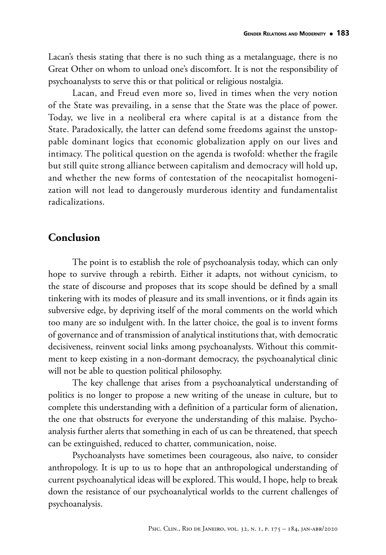Lacan's thesis stating that there is no such thing as a metalanguage, there is no Great Other on whom to unload one's discomfort. It is not the responsibility of psychoanalysts to serve this or that political or religious nostalgia.

Lacan, and Freud even more so, lived in times when the very notion of the State was prevailing, in a sense that the State was the place of power. Today, we live in a neoliberal era where capital is at a distance from the State. Paradoxically, the latter can defend some freedoms against the unstoppable dominant logics that economic globalization apply on our lives and intimacy. The political question on the agenda is twofold: whether the fragile but still quite strong alliance between capitalism and democracy will hold up, and whether the new forms of contestation of the neocapitalist homogenization will not lead to dangerously murderous identity and fundamentalist radicalizations.

# **Conclusion**

The point is to establish the role of psychoanalysis today, which can only hope to survive through a rebirth. Either it adapts, not without cynicism, to the state of discourse and proposes that its scope should be defined by a small tinkering with its modes of pleasure and its small inventions, or it finds again its subversive edge, by depriving itself of the moral comments on the world which too many are so indulgent with. In the latter choice, the goal is to invent forms of governance and of transmission of analytical institutions that, with democratic decisiveness, reinvent social links among psychoanalysts. Without this commitment to keep existing in a non-dormant democracy, the psychoanalytical clinic will not be able to question political philosophy.

The key challenge that arises from a psychoanalytical understanding of politics is no longer to propose a new writing of the unease in culture, but to complete this understanding with a definition of a particular form of alienation, the one that obstructs for everyone the understanding of this malaise. Psychoanalysis further alerts that something in each of us can be threatened, that speech can be extinguished, reduced to chatter, communication, noise.

Psychoanalysts have sometimes been courageous, also naive, to consider anthropology. It is up to us to hope that an anthropological understanding of current psychoanalytical ideas will be explored. This would, I hope, help to break down the resistance of our psychoanalytical worlds to the current challenges of psychoanalysis.